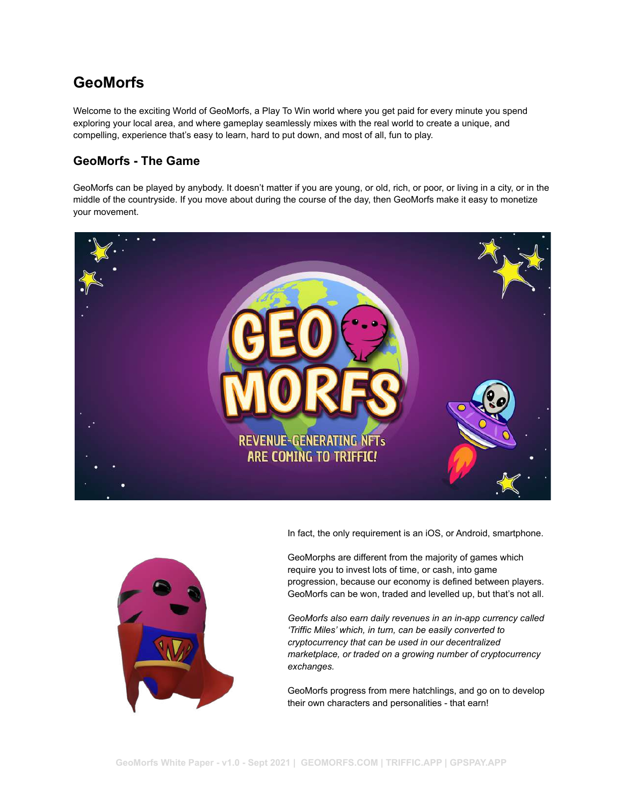# **GeoMorfs**

Welcome to the exciting World of GeoMorfs, a Play To Win world where you get paid for every minute you spend exploring your local area, and where gameplay seamlessly mixes with the real world to create a unique, and compelling, experience that's easy to learn, hard to put down, and most of all, fun to play.

## **GeoMorfs - The Game**

GeoMorfs can be played by anybody. It doesn't matter if you are young, or old, rich, or poor, or living in a city, or in the middle of the countryside. If you move about during the course of the day, then GeoMorfs make it easy to monetize your movement.



In fact, the only requirement is an iOS, or Android, smartphone.



GeoMorphs are different from the majority of games which require you to invest lots of time, or cash, into game progression, because our economy is defined between players. GeoMorfs can be won, traded and levelled up, but that's not all.

*GeoMorfs also earn daily revenues in an in-app currency called 'Triffic Miles' which, in turn, can be easily converted to cryptocurrency that can be used in our decentralized marketplace, or traded on a growing number of cryptocurrency exchanges.*

GeoMorfs progress from mere hatchlings, and go on to develop their own characters and personalities - that earn!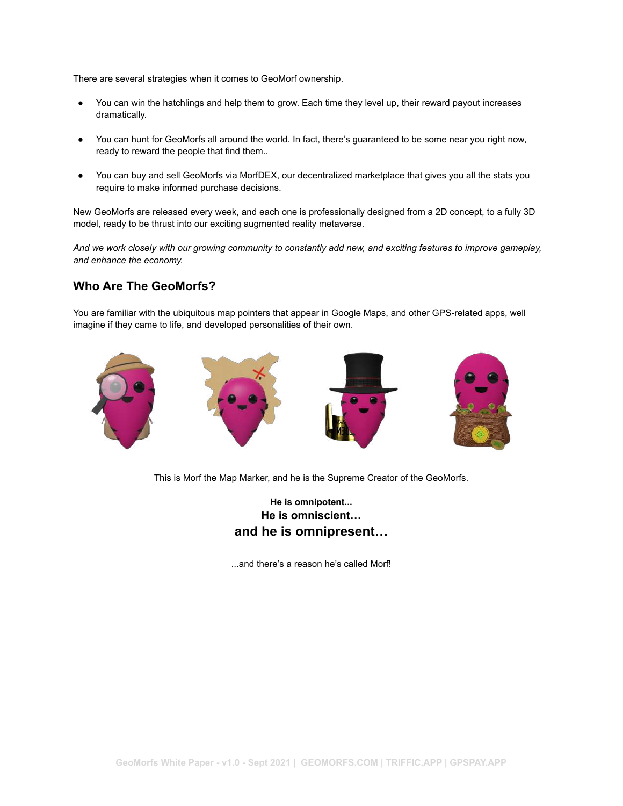There are several strategies when it comes to GeoMorf ownership.

- You can win the hatchlings and help them to grow. Each time they level up, their reward payout increases dramatically.
- You can hunt for GeoMorfs all around the world. In fact, there's guaranteed to be some near you right now, ready to reward the people that find them..
- You can buy and sell GeoMorfs via MorfDEX, our decentralized marketplace that gives you all the stats you require to make informed purchase decisions.

New GeoMorfs are released every week, and each one is professionally designed from a 2D concept, to a fully 3D model, ready to be thrust into our exciting augmented reality metaverse.

*And we work closely with our growing community to constantly add new, and exciting features to improve gameplay, and enhance the economy.*

#### **Who Are The GeoMorfs?**

You are familiar with the ubiquitous map pointers that appear in Google Maps, and other GPS-related apps, well imagine if they came to life, and developed personalities of their own.



This is Morf the Map Marker, and he is the Supreme Creator of the GeoMorfs.

### **He is omnipotent... He is omniscient… and he is omnipresent…**

...and there's a reason he's called Morf!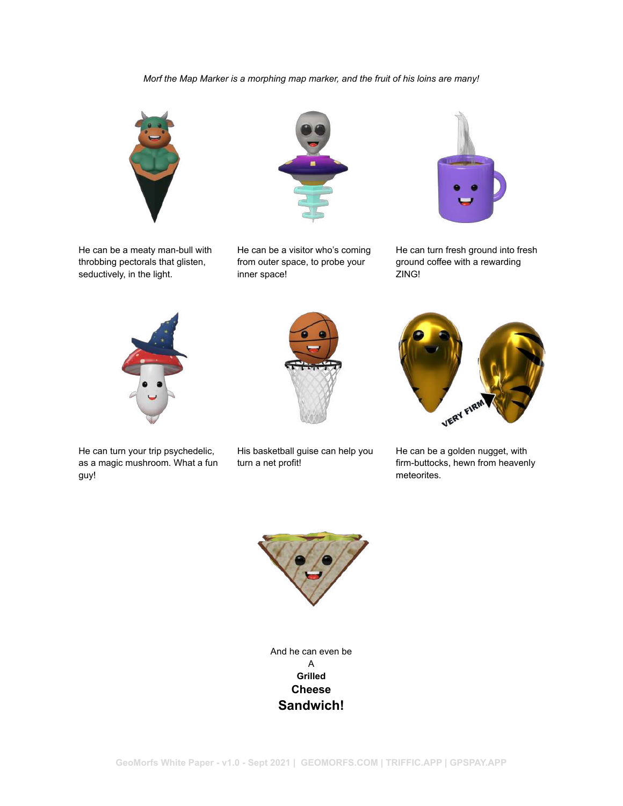#### *Morf the Map Marker is a morphing map marker, and the fruit of his loins are many!*



He can be a meaty man-bull with throbbing pectorals that glisten, seductively, in the light.



He can be a visitor who's coming from outer space, to probe your inner space!



He can turn fresh ground into fresh ground coffee with a rewarding ZING!





He can turn your trip psychedelic, as a magic mushroom. What a fun guy!

His basketball guise can help you turn a net profit!



He can be a golden nugget, with firm-buttocks, hewn from heavenly meteorites.



And he can even be A **Grilled Cheese Sandwich!**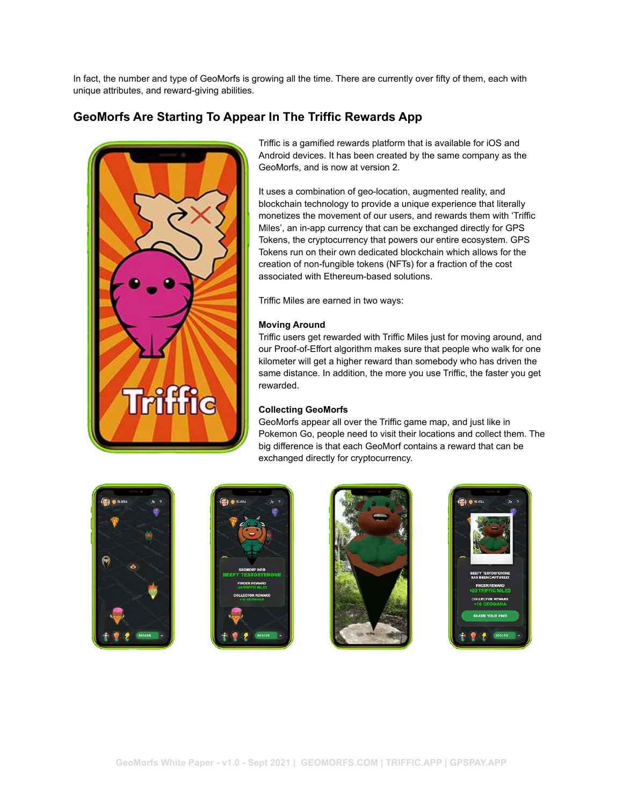In fact, the number and type of GeoMorfs is growing all the time. There are currently over fifty of them, each with unique attributes, and reward-giving abilities.

## **GeoMorfs Are Starting To Appear In The Triffic Rewards App**



Triffic is a gamified rewards platform that is available for iOS and Android devices. It has been created by the same company as the GeoMorfs, and is now at version 2.

It uses a combination of geo-location, augmented reality, and blockchain technology to provide a unique experience that literally monetizes the movement of our users, and rewards them with 'Triffic Miles', an in-app currency that can be exchanged directly for GPS Tokens, the cryptocurrency that powers our entire ecosystem. GPS Tokens run on their own dedicated blockchain which allows for the creation of non-fungible tokens (NFTs) for a fraction of the cost associated with Ethereum-based solutions.

Triffic Miles are earned in two ways:

#### **Moving Around**

Triffic users get rewarded with Triffic Miles just for moving around, and our Proof-of-Effort algorithm makes sure that people who walk for one kilometer will get a higher reward than somebody who has driven the same distance. In addition, the more you use Triffic, the faster you get rewarded.

#### **Collecting GeoMorfs**

GeoMorfs appear all over the Triffic game map, and just like in Pokemon Go, people need to visit their locations and collect them. The big difference is that each GeoMorf contains a reward that can be exchanged directly for cryptocurrency.







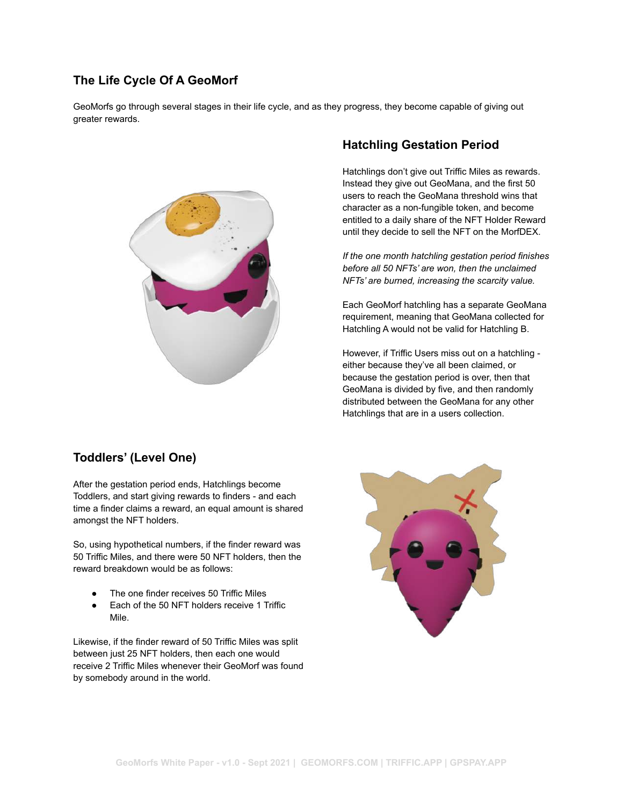### **The Life Cycle Of A GeoMorf**

GeoMorfs go through several stages in their life cycle, and as they progress, they become capable of giving out greater rewards.



## **Toddlers' (Level One)**

After the gestation period ends, Hatchlings become Toddlers, and start giving rewards to finders - and each time a finder claims a reward, an equal amount is shared amongst the NFT holders.

So, using hypothetical numbers, if the finder reward was 50 Triffic Miles, and there were 50 NFT holders, then the reward breakdown would be as follows:

- The one finder receives 50 Triffic Miles
- Each of the 50 NFT holders receive 1 Triffic Mile.

Likewise, if the finder reward of 50 Triffic Miles was split between just 25 NFT holders, then each one would receive 2 Triffic Miles whenever their GeoMorf was found by somebody around in the world.

### **Hatchling Gestation Period**

Hatchlings don't give out Triffic Miles as rewards. Instead they give out GeoMana, and the first 50 users to reach the GeoMana threshold wins that character as a non-fungible token, and become entitled to a daily share of the NFT Holder Reward until they decide to sell the NFT on the MorfDEX.

*If the one month hatchling gestation period finishes before all 50 NFTs' are won, then the unclaimed NFTs' are burned, increasing the scarcity value.*

Each GeoMorf hatchling has a separate GeoMana requirement, meaning that GeoMana collected for Hatchling A would not be valid for Hatchling B.

However, if Triffic Users miss out on a hatchling either because they've all been claimed, or because the gestation period is over, then that GeoMana is divided by five, and then randomly distributed between the GeoMana for any other Hatchlings that are in a users collection.

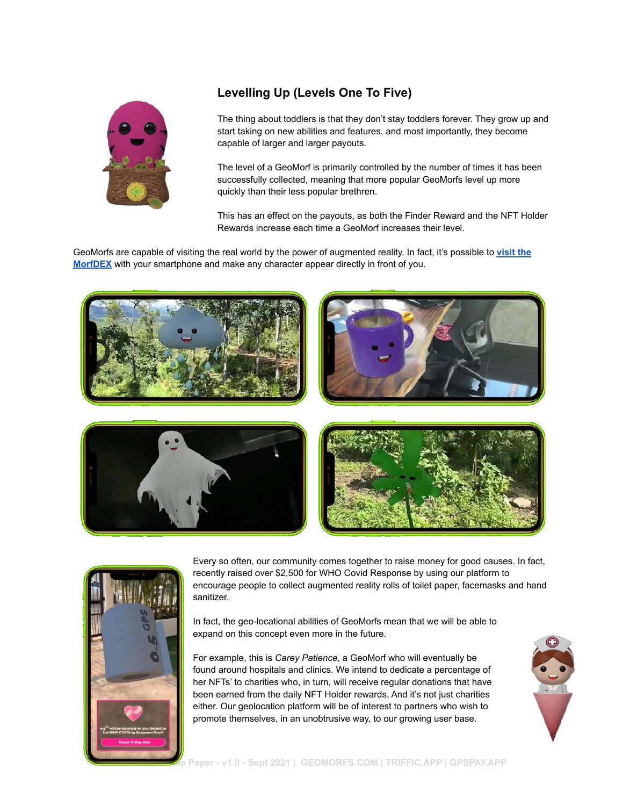

## **Levelling Up (Levels One To Five)**

The thing about toddlers is that they don't stay toddlers forever. They grow up and start taking on new abilities and features, and most importantly, they become capable of larger and larger payouts.

The level of a GeoMorf is primarily controlled by the number of times it has been successfully collected, meaning that more popular GeoMorfs level up more quickly than their less popular brethren.

This has an effect on the payouts, as both the Finder Reward and the NFT Holder Rewards increase each time a GeoMorf increases their level.

GeoMorfs are capable of visiting the real world by the power of augmented reality. In fact, it's possible to **[visit the](https://geomorfs.com/morfdex/) [MorfDEX](https://geomorfs.com/morfdex/)** with your smartphone and make any character appear directly in front of you.









Every so often, our community comes together to raise money for good causes. In fact, recently raised over \$2,500 for WHO Covid Response by using our platform to encourage people to collect augmented reality rolls of toilet paper, facemasks and hand sanitizer.

In fact, the geo-locational abilities of GeoMorfs mean that we will be able to expand on this concept even more in the future.

For example, this is *Carey Patience*, a GeoMorf who will eventually be found around hospitals and clinics. We intend to dedicate a percentage of her NFTs' to charities who, in turn, will receive regular donations that have been earned from the daily NFT Holder rewards. And it's not just charities either. Our geolocation platform will be of interest to partners who wish to promote themselves, in an unobtrusive way, to our growing user base.

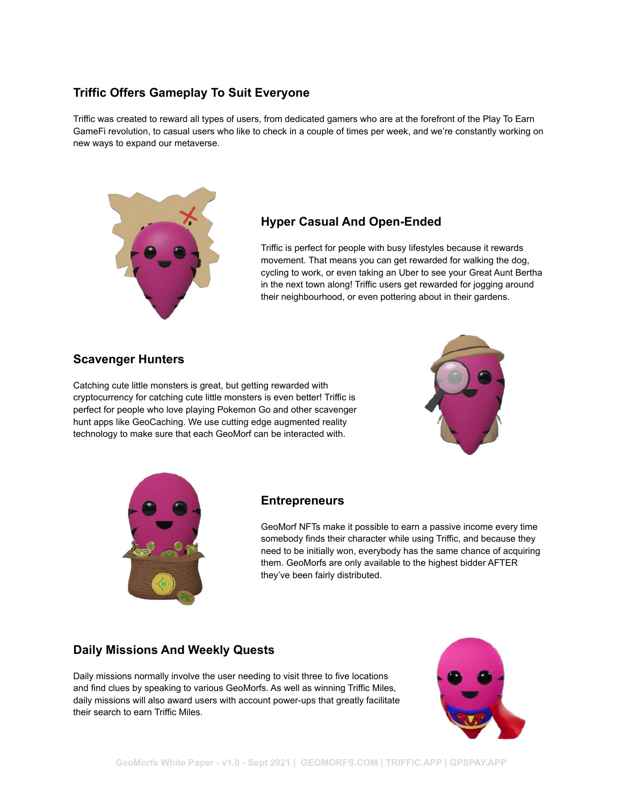## **Triffic Offers Gameplay To Suit Everyone**

Triffic was created to reward all types of users, from dedicated gamers who are at the forefront of the Play To Earn GameFi revolution, to casual users who like to check in a couple of times per week, and we're constantly working on new ways to expand our metaverse.



### **Hyper Casual And Open-Ended**

Triffic is perfect for people with busy lifestyles because it rewards movement. That means you can get rewarded for walking the dog, cycling to work, or even taking an Uber to see your Great Aunt Bertha in the next town along! Triffic users get rewarded for jogging around their neighbourhood, or even pottering about in their gardens.

### **Scavenger Hunters**

Catching cute little monsters is great, but getting rewarded with cryptocurrency for catching cute little monsters is even better! Triffic is perfect for people who love playing Pokemon Go and other scavenger hunt apps like GeoCaching. We use cutting edge augmented reality technology to make sure that each GeoMorf can be interacted with.





#### **Entrepreneurs**

GeoMorf NFTs make it possible to earn a passive income every time somebody finds their character while using Triffic, and because they need to be initially won, everybody has the same chance of acquiring them. GeoMorfs are only available to the highest bidder AFTER they've been fairly distributed.

### **Daily Missions And Weekly Quests**

Daily missions normally involve the user needing to visit three to five locations and find clues by speaking to various GeoMorfs. As well as winning Triffic Miles, daily missions will also award users with account power-ups that greatly facilitate their search to earn Triffic Miles.

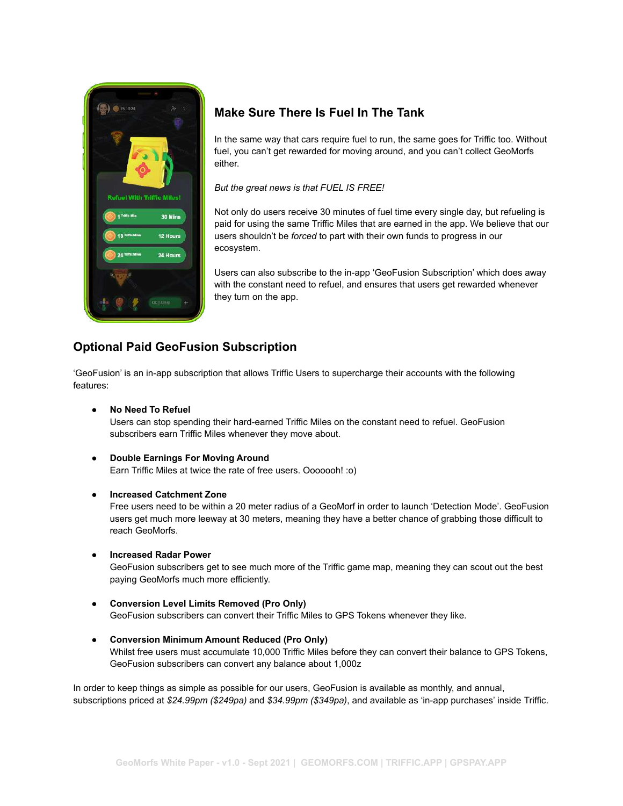

### **Make Sure There Is Fuel In The Tank**

In the same way that cars require fuel to run, the same goes for Triffic too. Without fuel, you can't get rewarded for moving around, and you can't collect GeoMorfs either.

*But the great news is that FUEL IS FREE!*

Not only do users receive 30 minutes of fuel time every single day, but refueling is paid for using the same Triffic Miles that are earned in the app. We believe that our users shouldn't be *forced* to part with their own funds to progress in our ecosystem.

Users can also subscribe to the in-app 'GeoFusion Subscription' which does away with the constant need to refuel, and ensures that users get rewarded whenever they turn on the app.

## **Optional Paid GeoFusion Subscription**

'GeoFusion' is an in-app subscription that allows Triffic Users to supercharge their accounts with the following features:

- **No Need To Refuel** Users can stop spending their hard-earned Triffic Miles on the constant need to refuel. GeoFusion subscribers earn Triffic Miles whenever they move about.
- **Double Earnings For Moving Around** Earn Triffic Miles at twice the rate of free users. Ooooooh! :o)
- **Increased Catchment Zone**

Free users need to be within a 20 meter radius of a GeoMorf in order to launch 'Detection Mode'. GeoFusion users get much more leeway at 30 meters, meaning they have a better chance of grabbing those difficult to reach GeoMorfs.

● **Increased Radar Power**

GeoFusion subscribers get to see much more of the Triffic game map, meaning they can scout out the best paying GeoMorfs much more efficiently.

- **Conversion Level Limits Removed (Pro Only)** GeoFusion subscribers can convert their Triffic Miles to GPS Tokens whenever they like.
- **● Conversion Minimum Amount Reduced (Pro Only)** Whilst free users must accumulate 10,000 Triffic Miles before they can convert their balance to GPS Tokens, GeoFusion subscribers can convert any balance about 1,000z

In order to keep things as simple as possible for our users, GeoFusion is available as monthly, and annual, subscriptions priced at *\$24.99pm (\$249pa)* and *\$34.99pm (\$349pa)*, and available as 'in-app purchases' inside Triffic.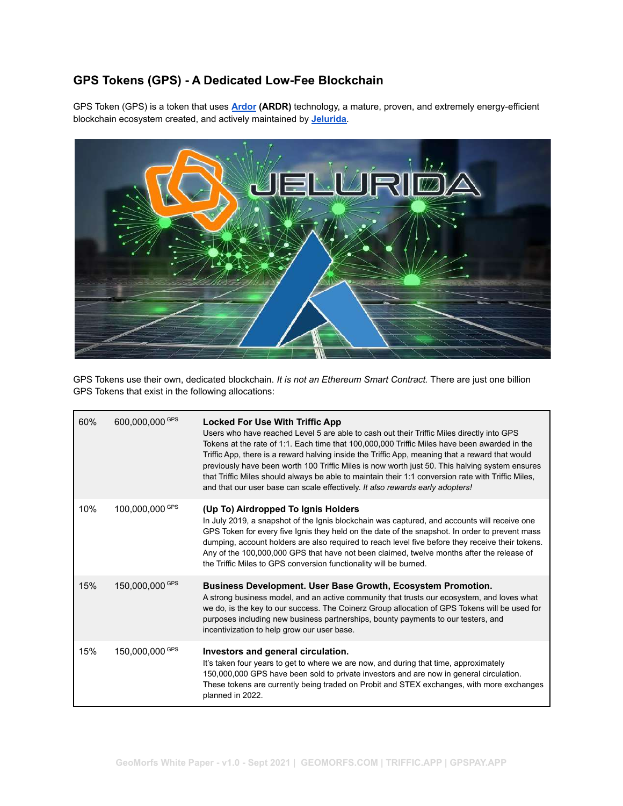## **GPS Tokens (GPS) - A Dedicated Low-Fee Blockchain**

GPS Token (GPS) is a token that uses **[Ardor](https://www.jelurida.com/ardor) (ARDR)** technology, a mature, proven, and extremely energy-efficient blockchain ecosystem created, and actively maintained by **[Jelurida](https://jelurida.com)**.



GPS Tokens use their own, dedicated blockchain. *It is not an Ethereum Smart Contract.* There are just one billion GPS Tokens that exist in the following allocations:

| 60% | 600,000,000 GPS | <b>Locked For Use With Triffic App</b><br>Users who have reached Level 5 are able to cash out their Triffic Miles directly into GPS<br>Tokens at the rate of 1:1. Each time that 100,000,000 Triffic Miles have been awarded in the<br>Triffic App, there is a reward halving inside the Triffic App, meaning that a reward that would<br>previously have been worth 100 Triffic Miles is now worth just 50. This halving system ensures<br>that Triffic Miles should always be able to maintain their 1:1 conversion rate with Triffic Miles,<br>and that our user base can scale effectively. It also rewards early adopters! |
|-----|-----------------|---------------------------------------------------------------------------------------------------------------------------------------------------------------------------------------------------------------------------------------------------------------------------------------------------------------------------------------------------------------------------------------------------------------------------------------------------------------------------------------------------------------------------------------------------------------------------------------------------------------------------------|
| 10% | 100,000,000 GPS | (Up To) Airdropped To Ignis Holders<br>In July 2019, a snapshot of the Ignis blockchain was captured, and accounts will receive one<br>GPS Token for every five Ignis they held on the date of the snapshot. In order to prevent mass<br>dumping, account holders are also required to reach level five before they receive their tokens.<br>Any of the 100,000,000 GPS that have not been claimed, twelve months after the release of<br>the Triffic Miles to GPS conversion functionality will be burned.                                                                                                                     |
| 15% | 150,000,000 GPS | <b>Business Development. User Base Growth, Ecosystem Promotion.</b><br>A strong business model, and an active community that trusts our ecosystem, and loves what<br>we do, is the key to our success. The Coinerz Group allocation of GPS Tokens will be used for<br>purposes including new business partnerships, bounty payments to our testers, and<br>incentivization to help grow our user base.                                                                                                                                                                                                                          |
| 15% | 150,000,000 GPS | Investors and general circulation.<br>It's taken four years to get to where we are now, and during that time, approximately<br>150,000,000 GPS have been sold to private investors and are now in general circulation.<br>These tokens are currently being traded on Probit and STEX exchanges, with more exchanges<br>planned in 2022.                                                                                                                                                                                                                                                                                         |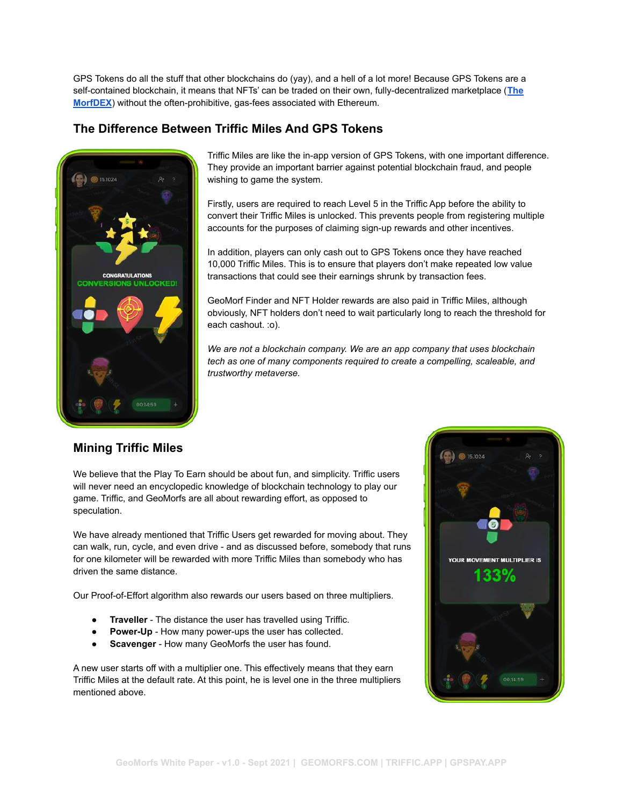GPS Tokens do all the stuff that other blockchains do (yay), and a hell of a lot more! Because GPS Tokens are a self-contained blockchain, it means that NFTs' can be traded on their own, fully-decentralized marketplace (**[The](https://geomorfs.com/morfdex/) [MorfDEX](https://geomorfs.com/morfdex/)**) without the often-prohibitive, gas-fees associated with Ethereum.

### **The Difference Between Triffic Miles And GPS Tokens**



Triffic Miles are like the in-app version of GPS Tokens, with one important difference. They provide an important barrier against potential blockchain fraud, and people wishing to game the system.

Firstly, users are required to reach Level 5 in the Triffic App before the ability to convert their Triffic Miles is unlocked. This prevents people from registering multiple accounts for the purposes of claiming sign-up rewards and other incentives.

In addition, players can only cash out to GPS Tokens once they have reached 10,000 Triffic Miles. This is to ensure that players don't make repeated low value transactions that could see their earnings shrunk by transaction fees.

GeoMorf Finder and NFT Holder rewards are also paid in Triffic Miles, although obviously, NFT holders don't need to wait particularly long to reach the threshold for each cashout. :o).

*We are not a blockchain company. We are an app company that uses blockchain tech as one of many components required to create a compelling, scaleable, and trustworthy metaverse.*

### **Mining Triffic Miles**

We believe that the Play To Earn should be about fun, and simplicity. Triffic users will never need an encyclopedic knowledge of blockchain technology to play our game. Triffic, and GeoMorfs are all about rewarding effort, as opposed to speculation.

We have already mentioned that Triffic Users get rewarded for moving about. They can walk, run, cycle, and even drive - and as discussed before, somebody that runs for one kilometer will be rewarded with more Triffic Miles than somebody who has driven the same distance.

Our Proof-of-Effort algorithm also rewards our users based on three multipliers.

- **Traveller** The distance the user has travelled using Triffic.
- **Power-Up** How many power-ups the user has collected.
- **Scavenger** How many GeoMorfs the user has found.

A new user starts off with a multiplier one. This effectively means that they earn Triffic Miles at the default rate. At this point, he is level one in the three multipliers mentioned above.

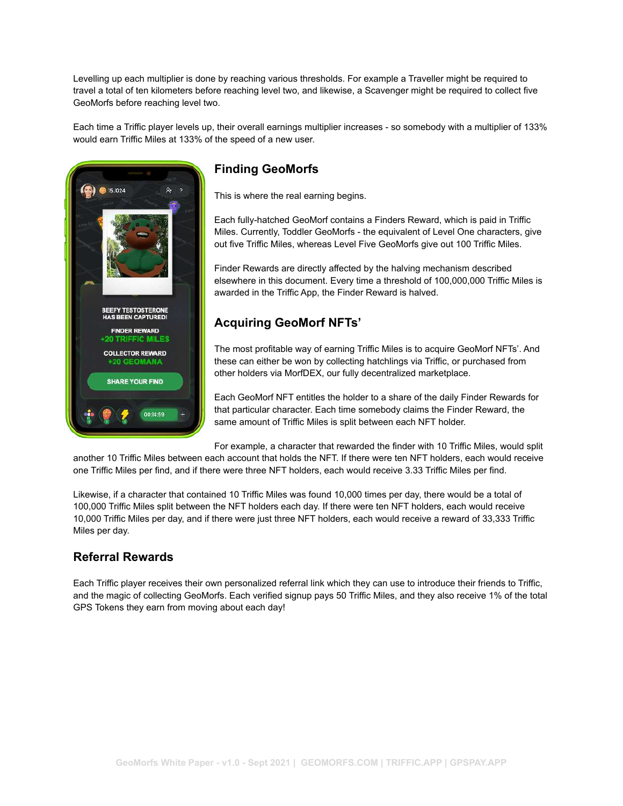Levelling up each multiplier is done by reaching various thresholds. For example a Traveller might be required to travel a total of ten kilometers before reaching level two, and likewise, a Scavenger might be required to collect five GeoMorfs before reaching level two.

Each time a Triffic player levels up, their overall earnings multiplier increases - so somebody with a multiplier of 133% would earn Triffic Miles at 133% of the speed of a new user.



## **Finding GeoMorfs**

This is where the real earning begins.

Each fully-hatched GeoMorf contains a Finders Reward, which is paid in Triffic Miles. Currently, Toddler GeoMorfs - the equivalent of Level One characters, give out five Triffic Miles, whereas Level Five GeoMorfs give out 100 Triffic Miles.

Finder Rewards are directly affected by the halving mechanism described elsewhere in this document. Every time a threshold of 100,000,000 Triffic Miles is awarded in the Triffic App, the Finder Reward is halved.

## **Acquiring GeoMorf NFTs'**

The most profitable way of earning Triffic Miles is to acquire GeoMorf NFTs'. And these can either be won by collecting hatchlings via Triffic, or purchased from other holders via MorfDEX, our fully decentralized marketplace.

Each GeoMorf NFT entitles the holder to a share of the daily Finder Rewards for that particular character. Each time somebody claims the Finder Reward, the same amount of Triffic Miles is split between each NFT holder.

For example, a character that rewarded the finder with 10 Triffic Miles, would split

another 10 Triffic Miles between each account that holds the NFT. If there were ten NFT holders, each would receive one Triffic Miles per find, and if there were three NFT holders, each would receive 3.33 Triffic Miles per find.

Likewise, if a character that contained 10 Triffic Miles was found 10,000 times per day, there would be a total of 100,000 Triffic Miles split between the NFT holders each day. If there were ten NFT holders, each would receive 10,000 Triffic Miles per day, and if there were just three NFT holders, each would receive a reward of 33,333 Triffic Miles per day.

## **Referral Rewards**

Each Triffic player receives their own personalized referral link which they can use to introduce their friends to Triffic, and the magic of collecting GeoMorfs. Each verified signup pays 50 Triffic Miles, and they also receive 1% of the total GPS Tokens they earn from moving about each day!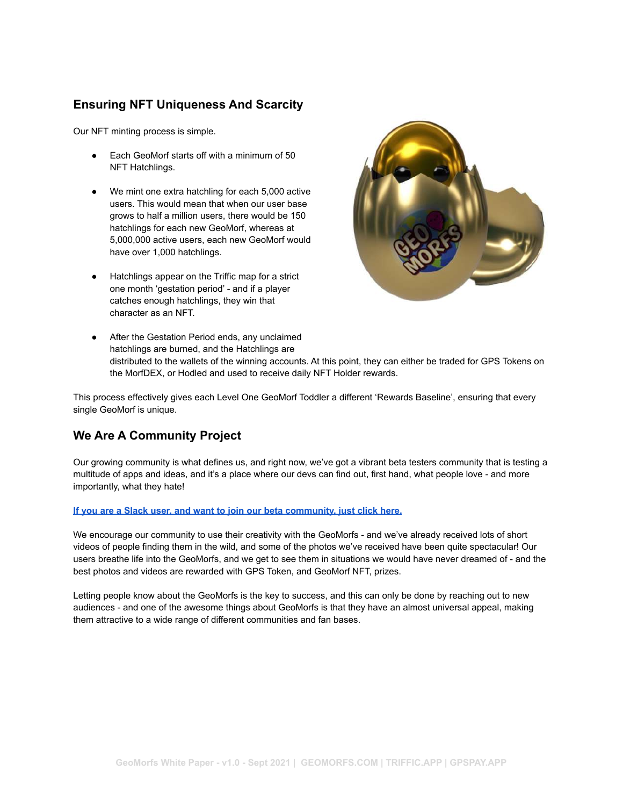## **Ensuring NFT Uniqueness And Scarcity**

Our NFT minting process is simple.

- Each GeoMorf starts off with a minimum of 50 NFT Hatchlings.
- We mint one extra hatchling for each 5,000 active users. This would mean that when our user base grows to half a million users, there would be 150 hatchlings for each new GeoMorf, whereas at 5,000,000 active users, each new GeoMorf would have over 1,000 hatchlings.
- Hatchlings appear on the Triffic map for a strict one month 'gestation period' - and if a player catches enough hatchlings, they win that character as an NFT.



● After the Gestation Period ends, any unclaimed hatchlings are burned, and the Hatchlings are distributed to the wallets of the winning accounts. At this point, they can either be traded for GPS Tokens on the MorfDEX, or Hodled and used to receive daily NFT Holder rewards.

This process effectively gives each Level One GeoMorf Toddler a different 'Rewards Baseline', ensuring that every single GeoMorf is unique.

## **We Are A Community Project**

Our growing community is what defines us, and right now, we've got a vibrant beta testers community that is testing a multitude of apps and ideas, and it's a place where our devs can find out, first hand, what people love - and more importantly, what they hate!

#### **[If you are a Slack user, and want to join our beta community, just click here.](https://join.slack.com/t/incentive-economy/shared_invite/zt-os9h2yc6-yx7BPDfsCm61Gxg4lT3Meg)**

We encourage our community to use their creativity with the GeoMorfs - and we've already received lots of short videos of people finding them in the wild, and some of the photos we've received have been quite spectacular! Our users breathe life into the GeoMorfs, and we get to see them in situations we would have never dreamed of - and the best photos and videos are rewarded with GPS Token, and GeoMorf NFT, prizes.

Letting people know about the GeoMorfs is the key to success, and this can only be done by reaching out to new audiences - and one of the awesome things about GeoMorfs is that they have an almost universal appeal, making them attractive to a wide range of different communities and fan bases.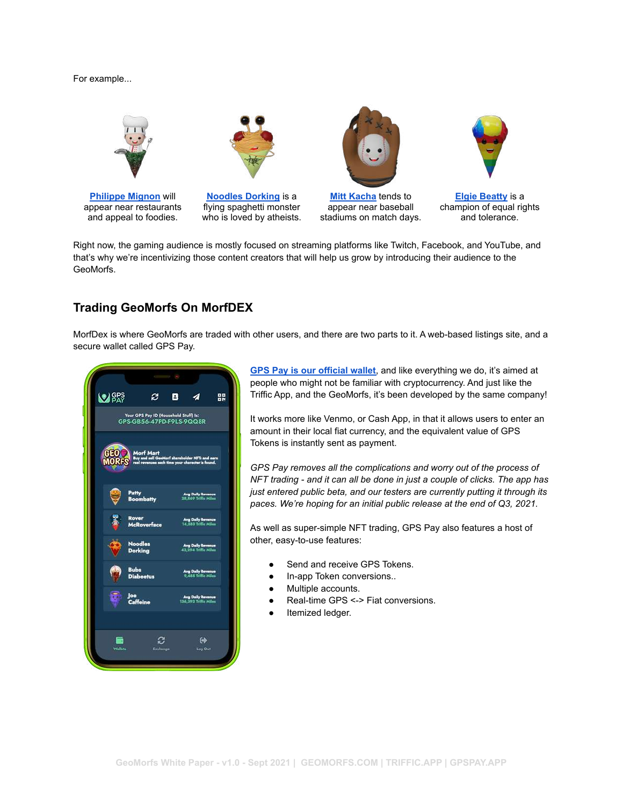#### For example...



**[Philippe Mignon](https://geomorfs.com/morfdex/philippe-mignon/)** will appear near restaurants and appeal to foodies.



**[Noodles Dorking](https://geomorfs.com/morfdex/noodles-dorking/)** is a flying spaghetti monster who is loved by atheists.



**[Mitt Kacha](https://geomorfs.com/morfdex/mitt-kacha/)** tends to appear near baseball stadiums on match days.



**[Elgie Beatty](https://geomorfs.com/morfdex/elgie-beatty/)** is a champion of equal rights and tolerance.

Right now, the gaming audience is mostly focused on streaming platforms like Twitch, Facebook, and YouTube, and that's why we're incentivizing those content creators that will help us grow by introducing their audience to the GeoMorfs.

### **Trading GeoMorfs On MorfDEX**

MorfDex is where GeoMorfs are traded with other users, and there are two parts to it. A web-based listings site, and a secure wallet called GPS Pay.

| e.<br>Your GPS Pay ID (Household Stuff) Is: | 8.         | 4                                                                |                                                                                                                                                                                                                                                                                                                                             |
|---------------------------------------------|------------|------------------------------------------------------------------|---------------------------------------------------------------------------------------------------------------------------------------------------------------------------------------------------------------------------------------------------------------------------------------------------------------------------------------------|
|                                             |            |                                                                  | 먮                                                                                                                                                                                                                                                                                                                                           |
| GPS-GB56-47PD-F9LS-9QQ8R                    |            |                                                                  |                                                                                                                                                                                                                                                                                                                                             |
|                                             |            |                                                                  |                                                                                                                                                                                                                                                                                                                                             |
| Patty                                       |            |                                                                  |                                                                                                                                                                                                                                                                                                                                             |
| <b>Rover</b>                                |            |                                                                  |                                                                                                                                                                                                                                                                                                                                             |
| <b>Noodles</b><br><b>Dorking</b>            |            |                                                                  |                                                                                                                                                                                                                                                                                                                                             |
| <b>Bubs</b><br><b>Diabeetus</b>             |            |                                                                  |                                                                                                                                                                                                                                                                                                                                             |
| <b>Caffeine</b>                             |            |                                                                  |                                                                                                                                                                                                                                                                                                                                             |
|                                             |            | $\leftrightarrow$                                                |                                                                                                                                                                                                                                                                                                                                             |
|                                             | <b>Joe</b> | Morf Mart<br><b>Boombatty</b><br><b>McRoverface</b><br>Excluings | Phort Phart<br>Buy and sell GeoMorf shareholder MFTs and earn<br>real revenues sech time your character is found.<br>Avg Daily Revenue<br>28,869 Triffic Miles<br>Avg Daily Revenue<br>14,583 Triffic Miles<br>Avg Daily Revenue<br>Avg Daily Revenue<br>9,488 Tollic Miles<br>Ang Daily Revenue<br>136,392 Triffic Miles<br><b>Log Out</b> |

**[GPS Pay is our official wallet](https://gpspay.app)**, and like everything we do, it's aimed at people who might not be familiar with cryptocurrency. And just like the Triffic App, and the GeoMorfs, it's been developed by the same company!

It works more like Venmo, or Cash App, in that it allows users to enter an amount in their local fiat currency, and the equivalent value of GPS Tokens is instantly sent as payment.

*GPS Pay removes all the complications and worry out of the process of NFT trading - and it can all be done in just a couple of clicks. The app has just entered public beta, and our testers are currently putting it through its paces. We're hoping for an initial public release at the end of Q3, 2021.*

As well as super-simple NFT trading, GPS Pay also features a host of other, easy-to-use features:

- Send and receive GPS Tokens.
- In-app Token conversions..
- Multiple accounts.
- Real-time GPS <-> Fiat conversions.
- Itemized ledger.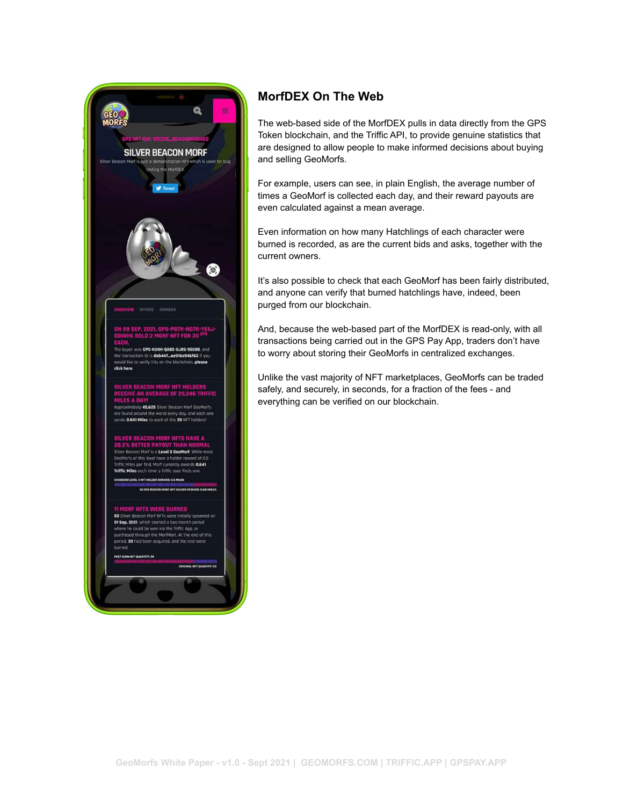

## **MorfDEX On The Web**

The web-based side of the MorfDEX pulls in data directly from the GPS Token blockchain, and the Triffic API, to provide genuine statistics that are designed to allow people to make informed decisions about buying and selling GeoMorfs.

For example, users can see, in plain English, the average number of times a GeoMorf is collected each day, and their reward payouts are even calculated against a mean average.

Even information on how many Hatchlings of each character were burned is recorded, as are the current bids and asks, together with the current owners.

It's also possible to check that each GeoMorf has been fairly distributed, and anyone can verify that burned hatchlings have, indeed, been purged from our blockchain.

And, because the web-based part of the MorfDEX is read-only, with all transactions being carried out in the GPS Pay App, traders don't have to worry about storing their GeoMorfs in centralized exchanges.

Unlike the vast majority of NFT marketplaces, GeoMorfs can be traded safely, and securely, in seconds, for a fraction of the fees - and everything can be verified on our blockchain.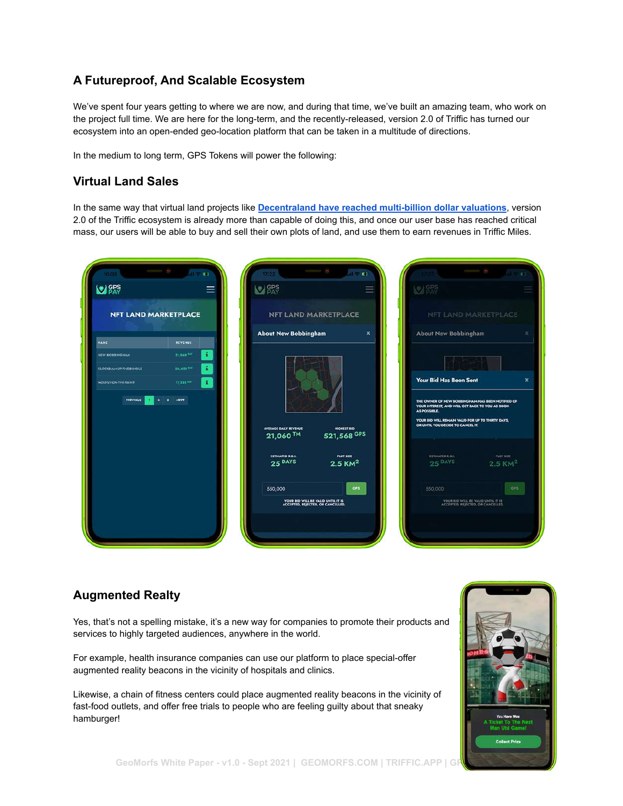## **A Futureproof, And Scalable Ecosystem**

We've spent four years getting to where we are now, and during that time, we've built an amazing team, who work on the project full time. We are here for the long-term, and the recently-released, version 2.0 of Triffic has turned our ecosystem into an open-ended geo-location platform that can be taken in a multitude of directions.

In the medium to long term, GPS Tokens will power the following:

### **Virtual Land Sales**

In the same way that virtual land projects like **Decentraland [have reached multi-billion dollar valuations](https://coinmarketcap.com/currencies/decentraland/)**, version 2.0 of the Triffic ecosystem is already more than capable of doing this, and once our user base has reached critical mass, our users will be able to buy and sell their own plots of land, and use them to earn revenues in Triffic Miles.

| <b>M</b> GPS                 |                 | <b>NO SPS</b>                                                                   | <b>MARS</b>                                                                         |                                                                                           |  |
|------------------------------|-----------------|---------------------------------------------------------------------------------|-------------------------------------------------------------------------------------|-------------------------------------------------------------------------------------------|--|
| <b>NFT LAND MARKETPLACE</b>  |                 | <b>NFT LAND MARKETPLACE</b>                                                     |                                                                                     | NFT LAND MARKETPL                                                                         |  |
| HANC                         | <b>REVENUE</b>  | <b>About New Bobbingham</b>                                                     | About New Bobbingham<br>$\boldsymbol{\mathsf{x}}$                                   |                                                                                           |  |
| <b>NEW BOSSINGHAM</b>        | ÷<br>21,040 PM  |                                                                                 |                                                                                     |                                                                                           |  |
| <b>CLOCKHANNUPTHE DINGLE</b> | 20,483 bit      |                                                                                 | Your Bid Has Been Sent                                                              |                                                                                           |  |
| <b>MOLESVONTHE TAINT</b>     | 17,223,841      |                                                                                 |                                                                                     |                                                                                           |  |
| PREVIOUS                     | HEAT<br>х.<br>٠ |                                                                                 | AS POSSIBLE                                                                         | THE OWNER OF NEW BOBBINGHAM HAS BEEN NOT<br>YOUR INTEREST, AND WILL GET BACK TO YOU AS SO |  |
|                              |                 | <b>AVERAGE DAILY REVENUE</b><br><b>HIGHEST BID</b>                              | YOUR BID WILL REMAIN VALID FOR UP TO THIRTY DA<br>OR UNTIL YOU DECIDE TO CANCEL IT. |                                                                                           |  |
|                              |                 | 521,568 GPS<br>21,060 TM                                                        |                                                                                     |                                                                                           |  |
|                              |                 | <b>ESTIMATED R.O.L.</b><br><b>PLOT SIZE</b><br>25 DAYS<br>$2.5$ KM <sup>2</sup> | ESTIMATED R.O.I.<br>$25$ DAYS                                                       | PLOT<br>2.51                                                                              |  |
|                              |                 | 550,000                                                                         | GPS:<br>550,000                                                                     |                                                                                           |  |
|                              |                 |                                                                                 |                                                                                     |                                                                                           |  |
|                              |                 | YOUR BID WILL BE VALID UNTIL IT IS<br>ACCEPTED, REJECTED, OR CANCELLED.         |                                                                                     | YOUR RID WILL BE VALID UNTIL IT IS                                                        |  |

### **Augmented Realty**

Yes, that's not a spelling mistake, it's a new way for companies to promote their products and services to highly targeted audiences, anywhere in the world.

For example, health insurance companies can use our platform to place special-offer augmented reality beacons in the vicinity of hospitals and clinics.

Likewise, a chain of fitness centers could place augmented reality beacons in the vicinity of fast-food outlets, and offer free trials to people who are feeling guilty about that sneaky hamburger!

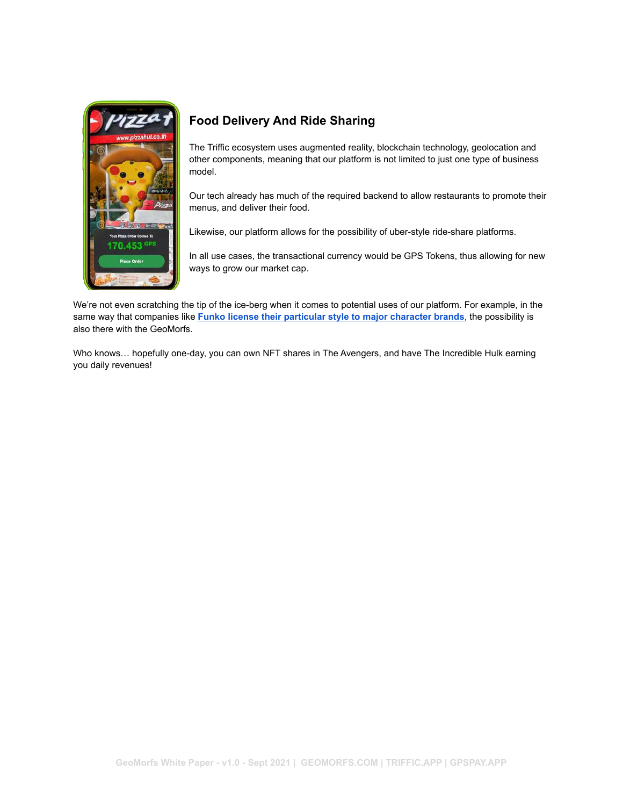

## **Food Delivery And Ride Sharing**

The Triffic ecosystem uses augmented reality, blockchain technology, geolocation and other components, meaning that our platform is not limited to just one type of business model.

Our tech already has much of the required backend to allow restaurants to promote their menus, and deliver their food.

Likewise, our platform allows for the possibility of uber-style ride-share platforms.

In all use cases, the transactional currency would be GPS Tokens, thus allowing for new ways to grow our market cap.

We're not even scratching the tip of the ice-berg when it comes to potential uses of our platform. For example, in the same way that companies like **Funko license their particular [style to major character brands](https://www.funko.com/)**, the possibility is also there with the GeoMorfs.

Who knows… hopefully one-day, you can own NFT shares in The Avengers, and have The Incredible Hulk earning you daily revenues!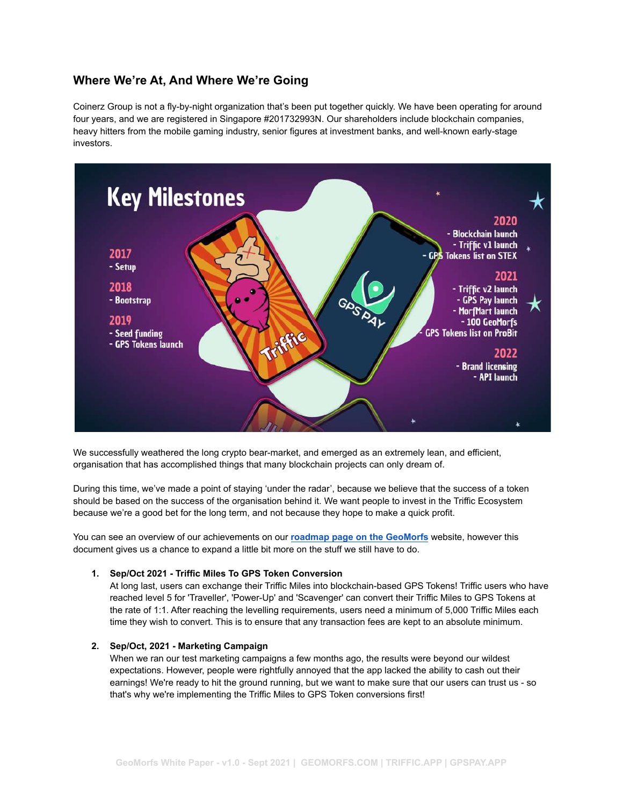### **Where We're At, And Where We're Going**

Coinerz Group is not a fly-by-night organization that's been put together quickly. We have been operating for around four years, and we are registered in Singapore #201732993N. Our shareholders include blockchain companies, heavy hitters from the mobile gaming industry, senior figures at investment banks, and well-known early-stage investors.



We successfully weathered the long crypto bear-market, and emerged as an extremely lean, and efficient, organisation that has accomplished things that many blockchain projects can only dream of.

During this time, we've made a point of staying 'under the radar', because we believe that the success of a token should be based on the success of the organisation behind it. We want people to invest in the Triffic Ecosystem because we're a good bet for the long term, and not because they hope to make a quick profit.

You can see an overview of our achievements on our **[roadmap page on the GeoMorfs](https://geomorfs.com/roadmap/)** website, however this document gives us a chance to expand a little bit more on the stuff we still have to do.

#### **1. Sep/Oct 2021 - Triffic Miles To GPS Token Conversion**

At long last, users can exchange their Triffic Miles into blockchain-based GPS Tokens! Triffic users who have reached level 5 for 'Traveller', 'Power-Up' and 'Scavenger' can convert their Triffic Miles to GPS Tokens at the rate of 1:1. After reaching the levelling requirements, users need a minimum of 5,000 Triffic Miles each time they wish to convert. This is to ensure that any transaction fees are kept to an absolute minimum.

#### **2. Sep/Oct, 2021 - Marketing Campaign**

When we ran our test marketing campaigns a few months ago, the results were beyond our wildest expectations. However, people were rightfully annoyed that the app lacked the ability to cash out their earnings! We're ready to hit the ground running, but we want to make sure that our users can trust us - so that's why we're implementing the Triffic Miles to GPS Token conversions first!